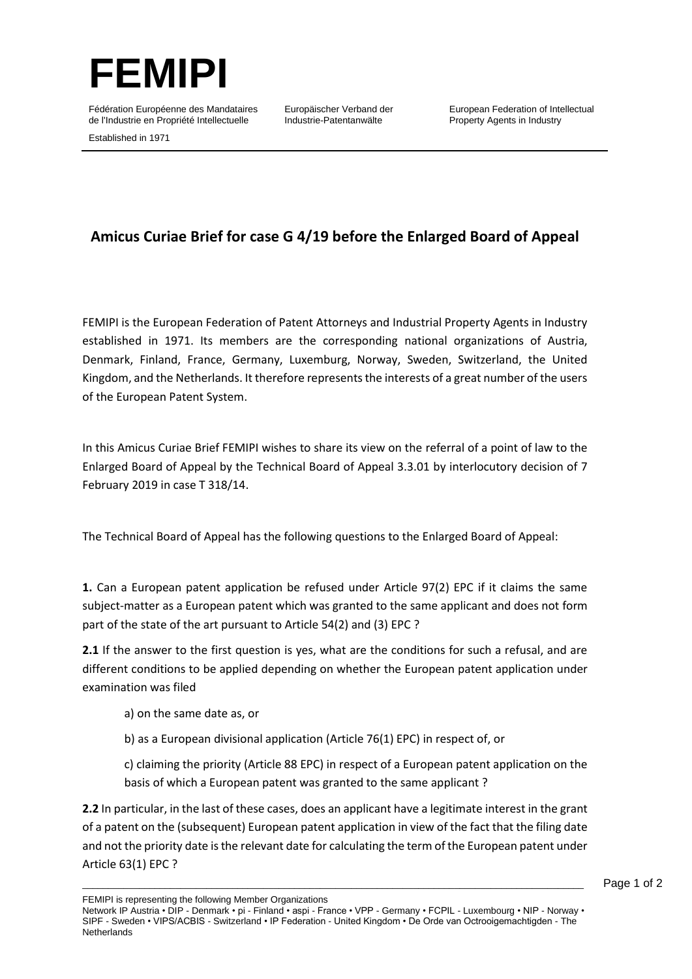

Fédération Européenne des Mandataires de l'Industrie en Propriété Intellectuelle

Europäischer Verband der Industrie-Patentanwälte

Established in 1971

## **Amicus Curiae Brief for case G 4/19 before the Enlarged Board of Appeal**

FEMIPI is the European Federation of Patent Attorneys and Industrial Property Agents in Industry established in 1971. Its members are the corresponding national organizations of Austria, Denmark, Finland, France, Germany, Luxemburg, Norway, Sweden, Switzerland, the United Kingdom, and the Netherlands. It therefore represents the interests of a great number of the users of the European Patent System.

In this Amicus Curiae Brief FEMIPI wishes to share its view on the referral of a point of law to the Enlarged Board of Appeal by the Technical Board of Appeal 3.3.01 by interlocutory decision of 7 February 2019 in case T 318/14.

The Technical Board of Appeal has the following questions to the Enlarged Board of Appeal:

**1.** Can a European patent application be refused under Article 97(2) EPC if it claims the same subject-matter as a European patent which was granted to the same applicant and does not form part of the state of the art pursuant to Article 54(2) and (3) EPC ?

**2.1** If the answer to the first question is yes, what are the conditions for such a refusal, and are different conditions to be applied depending on whether the European patent application under examination was filed

- a) on the same date as, or
- b) as a European divisional application (Article 76(1) EPC) in respect of, or
- c) claiming the priority (Article 88 EPC) in respect of a European patent application on the basis of which a European patent was granted to the same applicant ?

**2.2** In particular, in the last of these cases, does an applicant have a legitimate interest in the grant of a patent on the (subsequent) European patent application in view of the fact that the filing date and not the priority date is the relevant date for calculating the term of the European patent under Article 63(1) EPC ?

 $\_$  ,  $\_$  ,  $\_$  ,  $\_$  ,  $\_$  ,  $\_$  ,  $\_$  ,  $\_$  ,  $\_$  ,  $\_$  ,  $\_$  ,  $\_$  ,  $\_$  ,  $\_$  ,  $\_$  ,  $\_$  ,  $\_$  ,  $\_$  ,  $\_$  ,  $\_$  ,  $\_$  ,  $\_$  ,  $\_$  ,  $\_$  ,  $\_$  ,  $\_$  ,  $\_$  ,  $\_$  ,  $\_$  ,  $\_$  ,  $\_$  ,  $\_$  ,  $\_$  ,  $\_$  ,  $\_$  ,  $\_$  ,  $\_$  ,